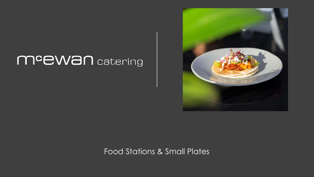# meewan catering



Food Stations & Small Plates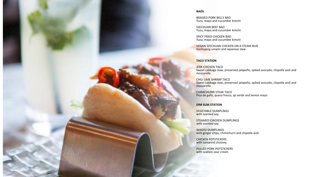#### **BAOS**

BRAISED PORK BELLY BAO Yuzu, mayo and cucumber kimchi

SZECHUAN BEEF BAO Yuzu, mayo and cucumber kimchi

SPICY FRIED CHICKEN BAO Yuzu, mayo and cucumber kimchi

VEGAN SZECHUAN CHICKEN ON A STEAM BUN Gochujang umami and Japanese slaw

#### **TACO STATION**

**JERK CHICKEN TACO** Sweet cabbage slaw, preserved jalapeño, spiked avocado, chipotle aioli and mozzarella

CHILI LIME SHRIMP TACO Sweet cabbage slaw, preserved jalapeño, spiked avocado, chipotle aioli and mozzarella

CHIMICHURRI STEAK TACO Pico de gallo, queso fresco, aji verde and lemon mayo

#### **DIM SUM STATION**

VEGETABLE DUMPLINGS with scented soy

STEAMED CHICKEN DUMPLINGS with scented soy

WAGYU DUMPLINGS with ginger chips, chimichurri and chipotle aioli

CHICKEN POTSTICKERS with tamarind chutney

PULLED PORK POTSTICKERS with scallion sour cream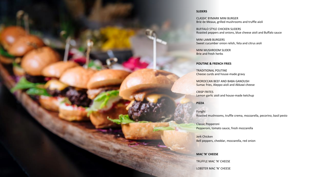#### **SLIDERS**

CLASSIC BYMARK MINI BURGER Brie de Meaux, grilled mushrooms and truffle aioli

BUFFALO STYLE CHICKEN SLIDERS Roasted peppers and onions, blue cheese aioli and Buffalo sauce

MINI LAMB BURGERS Sweet cucumber onion relish, feta and citrus aioli

MINI MUSHROOM SLIDER Brie and fresh herbs

#### **POUTINE & FRENCH FRIES**

TRADITIONAL POUTINE Cheese curds and house-made gravy

MOROCCAN BEEF AND BABA GANOUSH Sumac fries, Aleppo aioli and Akkawi cheese

CRISP FRITES Lemon garlic aioli and house-made ketchup

### **PIZZA**

Funghi Roasted mushrooms, truffle crema, mozzarella, pecorino, basil pesto

Classic Pepperoni Pepperoni, tomato sauce, fresh mozzarella

Jerk Chicken Bell peppers, cheddar, mozzarella, red onion

**MAC 'N' CHEESE** 

TRUFFLE MAC 'N' CHEESE

LOBSTER MAC 'N' CHEESE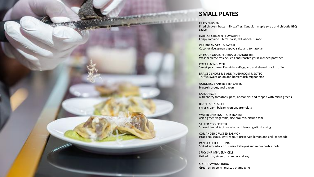

# **SMALL PLATES**

FRIED CHICKEN

Fried chicken, buttermilk waffles, Canadian maple syrup and chipotle BBQ sauce

HARISSA CHICKEN SHAWARMA Crispy romaine, Shirazi salsa, dill labneh, sumac

CARIBBEAN VEAL MEATBALL Coconut rice, green papaya salsa and tomato jam

24 HOUR GRASS FED BRAISED SHORT RIB Wasabi crème fraîche, leek and roasted garlic mashed potatoes

OXTAIL AGNOLOTTI Sweet pea purée, Parmigiano-Reggiano and shaved black truffle

BRAISED SHORT RIB AND MUSHROOM RISOTTO Truffle, sweet onion and horseradish mignonette

GUINNESS BRAISED BEEF CHEEK Brussel sprout, veal bacon

CASSARECCE with cherry tomatoes, peas, bocconcini and topped with micro greens

RICOTTA GNOCCHI citrus cream, balsamic onion, gremolata

WATER CHESTNUT POTSTICKERS Asian green vegetable, rice crouton, citrus dashi

SALTED COD FRITTER Shaved fennel & citrus salad and lemon garlic dressing

CORIANDER CRUSTED SALMON Israeli couscous, lentil ragout, preserved lemon and chilli tapenade

PAN SEARED AHI TUNA Spiked avocado, citrus miso, kabayaki and micro herb shoots

SPICY SHRIMP VERMICELLI Grilled tofu, ginger, coriander and soy

SPOT PRAWNS CRUDO Green strawberry, muscat champagne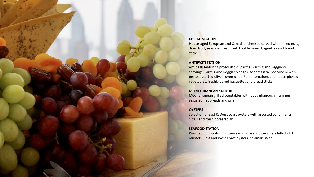# **CHEESE STATION**

House-aged European and Canadian cheeses served with mixed nuts, dried fruit, seasonal fresh fruit, freshly baked baguettes and bread sticks

### **ANTIPASTI STATION**

Antipasti featuring prosciutto di parma, Parmigiano Reggiano shavings, Parmigiano Reggiano crisps, soppressata, bocconcini with pesto, assorted olives, oven-dried Roma tomatoes and house pickled vegetables, freshly baked baguettes and bread sticks

### **MEDITERRANEAN STATION**

Mediterranean grilled vegetables with baba ghanoush, hummus, assorted flat breads and pita

# **OYSTERS**

Selection of East & West coast oysters with assorted condiments, citrus and fresh horseradish

### **SEAFOOD STATION**

Poached jumbo shrimp, tuna sashimi, scallop ceviche, chilled P.E.I mussels, East and West Coast oysters, calamari salad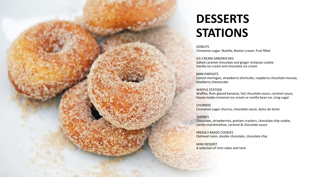# **DESSERTS STATIONS**

**DONUTS** Cinnamon sugar, Nutella, Boston cream, fruit filled

ICE-CREAM SANDWICHES Salted caramel chocolate and ginger molasses cookie Vanilla ice cream and chocolate ice cream

MINI PARFAITS

Lemon meringue, strawberry shortcake, raspberry chocolate mousse, blueberry cheesecake

WAFFLE STATION Waffles, Rum glazed bananas, hot chocolate sauce, caramel sauce, house-made cinnamon ice cream or vanilla bean ice, icing sugar

**CHURROS** Cinnamon sugar churros, chocolate sauce, dulce de leche

SMORES Chocolate, strawberries, graham crackers, chocolate chip cookie, vanilla marshmallow, caramel & chocolate sauce

FRESHLY BAKED COOKIES Oatmeal raisin, double chocolate, chocolate chip

MINI DESSERT A selection of mini cakes and tarts